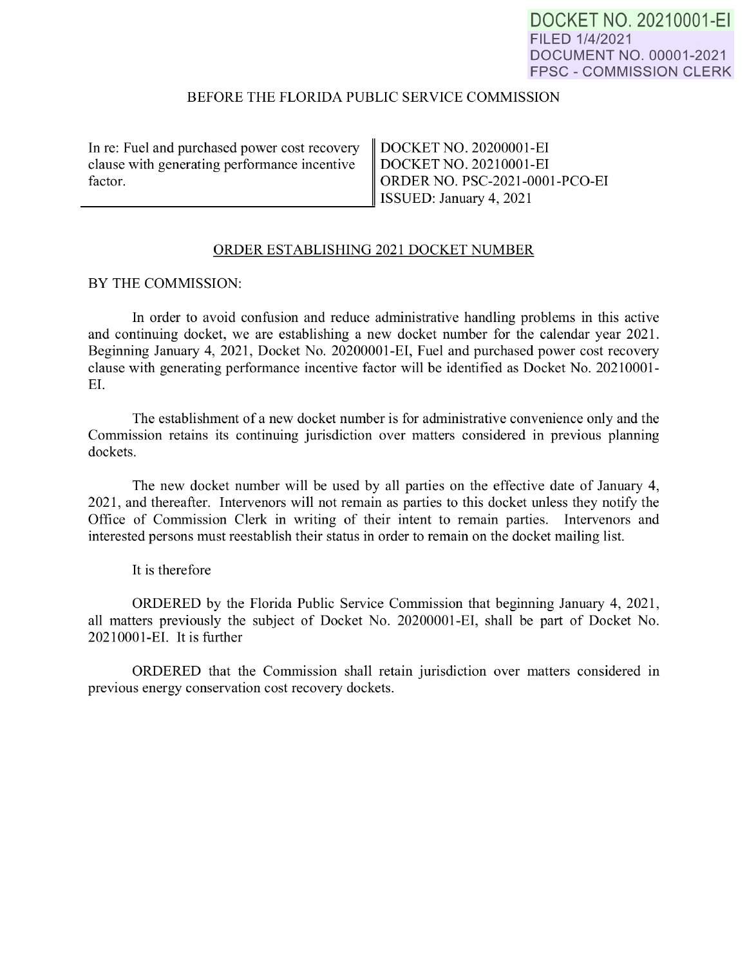DOCKET NO. 20210001-EI FILED 1/4/2021 DOCUMENT NO. 00001-2021 FPSC - COMMISSION CLERK

## BEFORE THE FLORIDA PUBLIC SERVICE COMMISSION

| In re: Fuel and purchased power cost recovery   DOCKET NO. 20200001-EI         |                         |
|--------------------------------------------------------------------------------|-------------------------|
| clause with generating performance incentive DOCKET NO. 20210001-EI<br>factor. |                         |
|                                                                                |                         |
|                                                                                | ISSUED: January 4, 2021 |
|                                                                                |                         |

## ORDER ESTABLISHING 2021 DOCKET NUMBER

BY THE COMMISSION:

In order to avoid confusion and reduce administrative handling problems in this active and continuing docket, we are establishing a new docket number for the calendar year 2021. Beginning January 4, 2021, Docket No. 20200001-EI, Fuel and purchased power cost recovery clause with generating performance incentive factor will be identified as Docket No. 20210001- EI.

The establishment of a new docket number is for administrative convenience only and the Commission retains its continuing jurisdiction over matters considered in previous planning dockets.

The new docket number will be used by all parties on the effective date of January 4, 2021, and thereafter. Intervenors will not remain as parties to this docket unless they notify the Office of Commission Clerk in writing of their intent to remain parties. Intervenors and interested persons must reestablish their status in order to remain on the docket mailing list.

It is therefore

ORDERED by the Florida Public Service Commission that beginning January 4, 2021 , all matters previously the subject of Docket No. 20200001-EI, shall be part of Docket No. 20210001-EI. It is further

ORDERED that the Commission shall retain jurisdiction over matters considered in previous energy conservation cost recovery dockets.